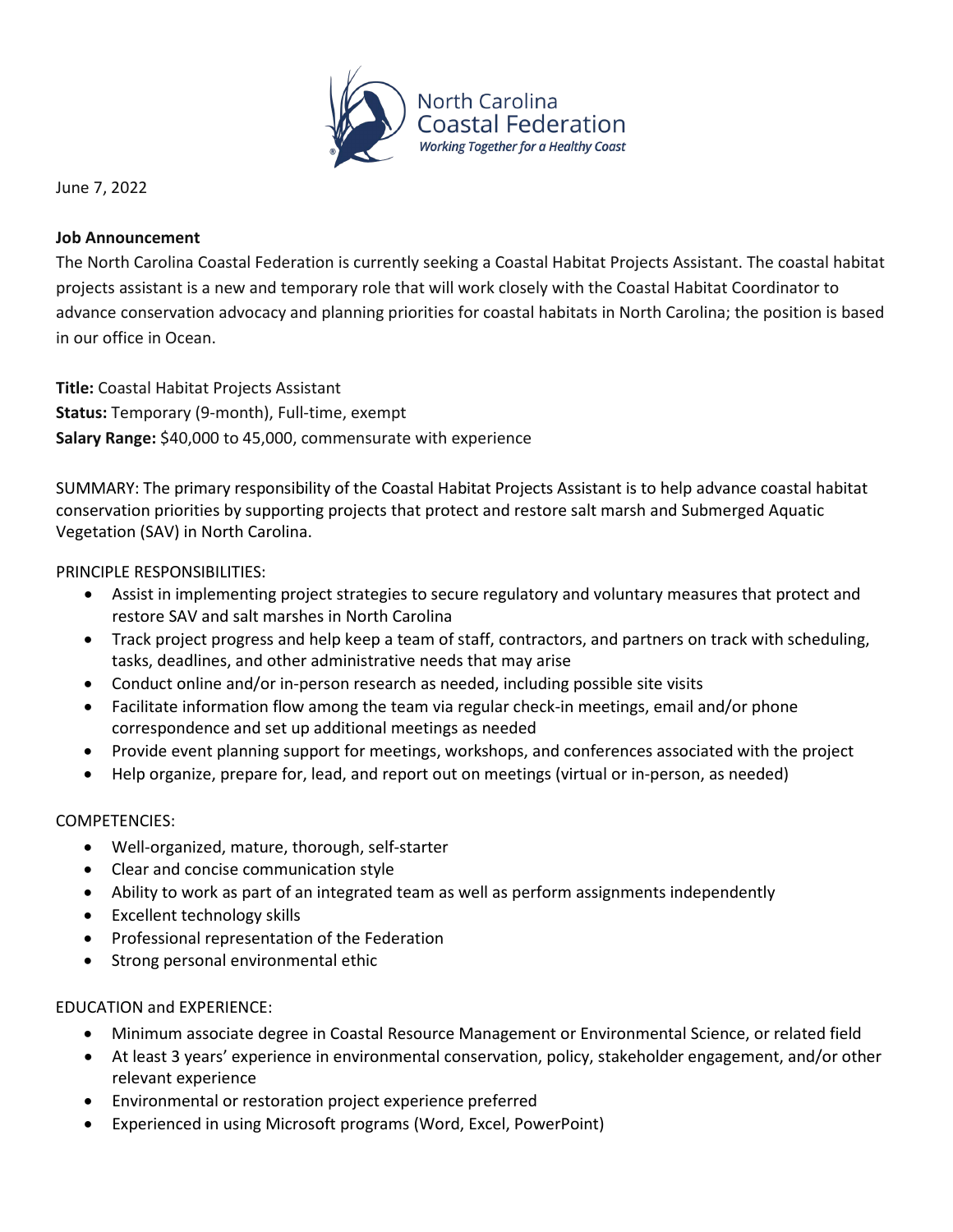

June 7, 2022

#### **Job Announcement**

The North Carolina Coastal Federation is currently seeking a Coastal Habitat Projects Assistant. The coastal habitat projects assistant is a new and temporary role that will work closely with the Coastal Habitat Coordinator to advance conservation advocacy and planning priorities for coastal habitats in North Carolina; the position is based in our office in Ocean.

**Title:** Coastal Habitat Projects Assistant **Status:** Temporary (9-month), Full-time, exempt **Salary Range:** \$40,000 to 45,000, commensurate with experience

SUMMARY: The primary responsibility of the Coastal Habitat Projects Assistant is to help advance coastal habitat conservation priorities by supporting projects that protect and restore salt marsh and Submerged Aquatic Vegetation (SAV) in North Carolina.

# PRINCIPLE RESPONSIBILITIES:

- Assist in implementing project strategies to secure regulatory and voluntary measures that protect and restore SAV and salt marshes in North Carolina
- Track project progress and help keep a team of staff, contractors, and partners on track with scheduling, tasks, deadlines, and other administrative needs that may arise
- Conduct online and/or in-person research as needed, including possible site visits
- Facilitate information flow among the team via regular check-in meetings, email and/or phone correspondence and set up additional meetings as needed
- Provide event planning support for meetings, workshops, and conferences associated with the project
- Help organize, prepare for, lead, and report out on meetings (virtual or in-person, as needed)

# COMPETENCIES:

- Well-organized, mature, thorough, self-starter
- Clear and concise communication style
- Ability to work as part of an integrated team as well as perform assignments independently
- Excellent technology skills
- Professional representation of the Federation
- Strong personal environmental ethic

# EDUCATION and EXPERIENCE:

- Minimum associate degree in Coastal Resource Management or Environmental Science, or related field
- At least 3 years' experience in environmental conservation, policy, stakeholder engagement, and/or other relevant experience
- Environmental or restoration project experience preferred
- Experienced in using Microsoft programs (Word, Excel, PowerPoint)